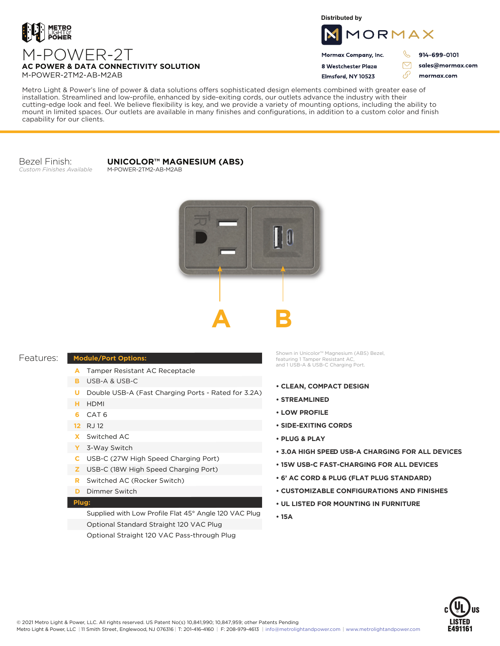

**Distributed by**



Mormax Company, Inc. 8 Westchester Plaza

Flmsford, NY 10523

914-699-0101

sales@mormax.com mormax.com

 $\triangledown$ 

76

**AC POWER & DATA CONNECTIVITY SOLUTION** M-POWER-2TM2-AB-M2AB

M-POWER-2T

Metro Light & Power's line of power & data solutions offers sophisticated design elements combined with greater ease of installation. Streamlined and low-profile, enhanced by side-exiting cords, our outlets advance the industry with their cutting-edge look and feel. We believe flexibility is key, and we provide a variety of mounting options, including the ability to mount in limited spaces. Our outlets are available in many finishes and configurations, in addition to a custom color and finish capability for our clients.

Bezel Finish: *Custom Finishes Available*

## **UNICOLOR™ MAGNESIUM (ABS)**

M-POWER-2TM2-AB-M2AB



## Features:

## **Module/Port Options:**

- A Tamper Resistant AC Receptacle
- USB-A & USB-C **B**
- U Double USB-A (Fast Charging Ports Rated for 3.2A)
- HDMI **H**
- CAT 6 **6**
- 12 RJ 12
- Switched AC **X**
- 3-Way Switch **Y**
- USB-C (27W High Speed Charging Port) **C**
- USB-C (18W High Speed Charging Port) **Z**
- Switched AC (Rocker Switch) **R**
- **D** Dimmer Switch

## **Plug:**

Supplied with Low Profile Flat 45° Angle 120 VAC Plug Optional Standard Straight 120 VAC Plug Optional Straight 120 VAC Pass-through Plug

Shown in Unicolor™ Magnesium (ABS) Bezel, featuring 1 Tamper Resistant AC, and 1 USB-A & USB-C Charging Port.

- **CLEAN, COMPACT DESIGN**
- **STREAMLINED**
- **LOW PROFILE**
- **SIDE-EXITING CORDS**
- **PLUG & PLAY**
- **3.0A HIGH SPEED USB-A CHARGING FOR ALL DEVICES**
- **15W USB-C FAST-CHARGING FOR ALL DEVICES**
- **6' AC CORD & PLUG (FLAT PLUG STANDARD)**
- **CUSTOMIZABLE CONFIGURATIONS AND FINISHES**
- **UL LISTED FOR MOUNTING IN FURNITURE**
- **15A**